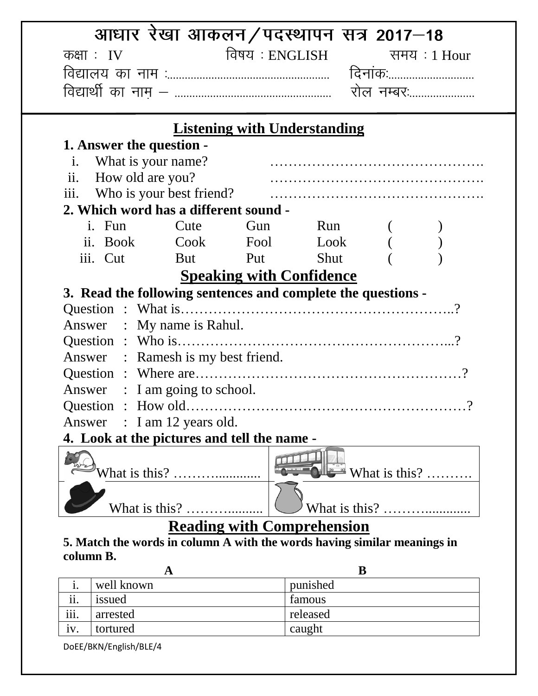|                                                                          |                          |                                 | आधार रेखा आकलन/पदस्थापन सत्र 2017–18 |  |                            |
|--------------------------------------------------------------------------|--------------------------|---------------------------------|--------------------------------------|--|----------------------------|
| विषय : ENGLISH<br>कक्षाः $IV$<br>समय $:1$ Hour                           |                          |                                 |                                      |  |                            |
|                                                                          |                          |                                 |                                      |  |                            |
|                                                                          |                          |                                 |                                      |  |                            |
|                                                                          |                          |                                 | <b>Listening with Understanding</b>  |  |                            |
| 1. Answer the question -                                                 |                          |                                 |                                      |  |                            |
| What is your name?<br>$\mathbf{i}$ .                                     |                          |                                 |                                      |  |                            |
| ii.<br>How old are you?                                                  |                          |                                 |                                      |  |                            |
| iii.                                                                     | Who is your best friend? |                                 |                                      |  |                            |
| 2. Which word has a different sound -                                    |                          |                                 |                                      |  |                            |
| i. Fun                                                                   | Cute                     | Gun                             | Run                                  |  |                            |
| ii. Book Cook Fool                                                       |                          |                                 | Look                                 |  |                            |
| iii. Cut                                                                 | <b>But</b>               | Put                             | Shut                                 |  |                            |
|                                                                          |                          | <b>Speaking with Confidence</b> |                                      |  |                            |
| 3. Read the following sentences and complete the questions -             |                          |                                 |                                      |  |                            |
|                                                                          |                          |                                 |                                      |  |                            |
| Answer : My name is Rahul.                                               |                          |                                 |                                      |  |                            |
|                                                                          |                          |                                 |                                      |  |                            |
| Answer : Ramesh is my best friend.                                       |                          |                                 |                                      |  |                            |
|                                                                          |                          |                                 |                                      |  |                            |
| Answer : I am going to school.                                           |                          |                                 |                                      |  |                            |
|                                                                          |                          |                                 |                                      |  |                            |
| Answer : I am 12 years old.                                              |                          |                                 |                                      |  |                            |
| 4. Look at the pictures and tell the name -                              |                          |                                 |                                      |  |                            |
|                                                                          | What is this? $\dots$    |                                 |                                      |  | $\mathbb{R}$ What is this? |
|                                                                          | What is this? $\dots$    |                                 |                                      |  |                            |
|                                                                          |                          |                                 | <b>Reading with Comprehension</b>    |  |                            |
| 5. Match the words in column A with the words having similar meanings in |                          |                                 |                                      |  |                            |

| ı.                   | well known | punished |
|----------------------|------------|----------|
| $\cdot \cdot$<br>11. | issued     | famous   |
| $\cdots$<br>111.     | arrested   | released |
| 1V.                  | tortured   | caught   |

DoEE/BKN/English/BLE/4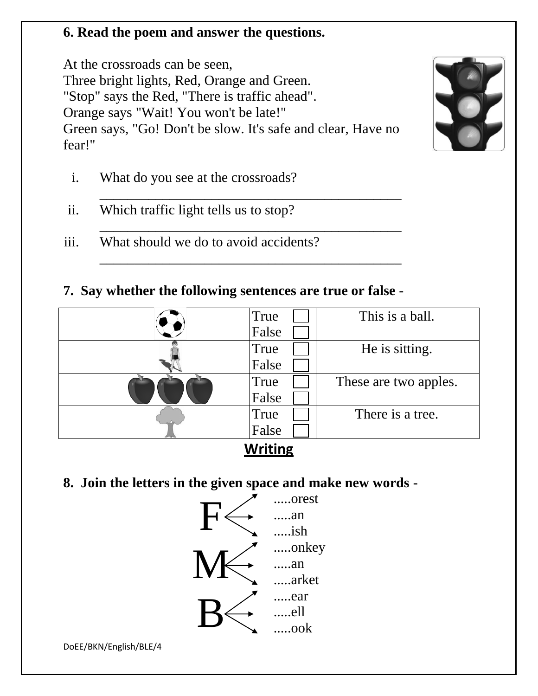### **6. Read the poem and answer the questions.**

At the crossroads can be seen, Three bright lights, Red, Orange and Green. "Stop" says the Red, "There is traffic ahead". Orange says "Wait! You won't be late!" Green says, "Go! Don't be slow. It's safe and clear, Have no fear!"



- i. What do you see at the crossroads?
- \_\_\_\_\_\_\_\_\_\_\_\_\_\_\_\_\_\_\_\_\_\_\_\_\_\_\_\_\_\_\_\_\_\_\_\_\_\_\_\_\_\_\_ ii. Which traffic light tells us to stop?
- iii. What should we do to avoid accidents?

### **7. Say whether the following sentences are true or false -**

\_\_\_\_\_\_\_\_\_\_\_\_\_\_\_\_\_\_\_\_\_\_\_\_\_\_\_\_\_\_\_\_\_\_\_\_\_\_\_\_\_\_\_

\_\_\_\_\_\_\_\_\_\_\_\_\_\_\_\_\_\_\_\_\_\_\_\_\_\_\_\_\_\_\_\_\_\_\_\_\_\_\_\_\_\_\_



# **Writing**

**8. Join the letters in the given space and make new words -**

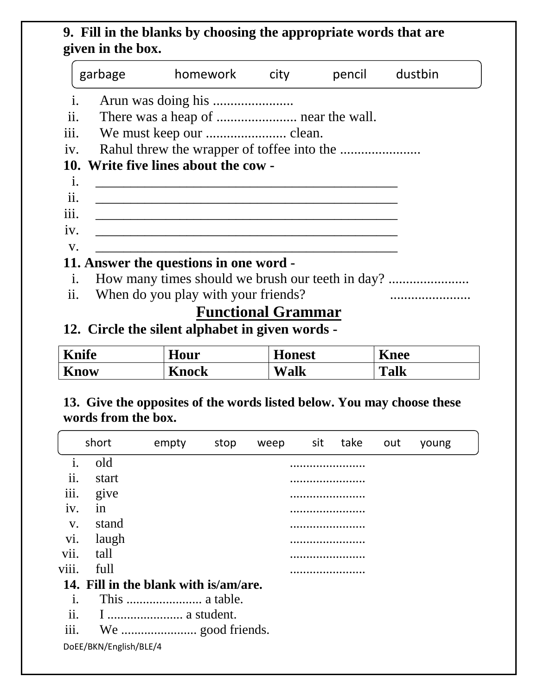## **9. Fill in the blanks by choosing the appropriate words that are given in the box.**

|             | garbage                              | homework                                         | city | pencil | dustbin |  |  |  |
|-------------|--------------------------------------|--------------------------------------------------|------|--------|---------|--|--|--|
|             | i.                                   |                                                  |      |        |         |  |  |  |
| ii.         |                                      |                                                  |      |        |         |  |  |  |
|             |                                      |                                                  |      |        |         |  |  |  |
| iv.         |                                      |                                                  |      |        |         |  |  |  |
|             | 10. Write five lines about the cow - |                                                  |      |        |         |  |  |  |
| 1.          |                                      |                                                  |      |        |         |  |  |  |
| ii.         |                                      |                                                  |      |        |         |  |  |  |
| iii.        |                                      |                                                  |      |        |         |  |  |  |
| iv.         |                                      |                                                  |      |        |         |  |  |  |
| V.          |                                      |                                                  |      |        |         |  |  |  |
|             |                                      | 11. Answer the questions in one word -           |      |        |         |  |  |  |
| $\dot{1}$ . |                                      | How many times should we brush our teeth in day? |      |        |         |  |  |  |
| ii.         | When do you play with your friends?  |                                                  |      |        |         |  |  |  |
|             |                                      | $\Gamma$ -----4'-----1 $\Gamma$ ----------       |      |        |         |  |  |  |

## **Functional Grammar**

**12. Circle the silent alphabet in given words -**

| <b>Knife</b> | Hour         | <b>Honest</b> | Knee |
|--------------|--------------|---------------|------|
| <b>Know</b>  | <b>Knock</b> | <b>Walk</b>   | Talk |

**13. Give the opposites of the words listed below. You may choose these words from the box.**

|                | short                  | empty                                 | stop | weep | sit | take | out | young |
|----------------|------------------------|---------------------------------------|------|------|-----|------|-----|-------|
| $\mathbf{1}$ . | old                    |                                       |      |      |     |      |     |       |
| ii.            | start                  |                                       |      |      |     |      |     |       |
| iii.           | give                   |                                       |      |      |     |      |     |       |
| iv.            | 1n                     |                                       |      |      |     |      |     |       |
| V.             | stand                  |                                       |      |      |     |      |     |       |
| vi.            | laugh                  |                                       |      |      |     |      |     |       |
| vii.           | tall                   |                                       |      |      |     |      |     |       |
| viii.          | full                   |                                       |      |      |     |      |     |       |
|                |                        | 14. Fill in the blank with is/am/are. |      |      |     |      |     |       |
| 1.             |                        |                                       |      |      |     |      |     |       |
| ii.            |                        |                                       |      |      |     |      |     |       |
| iii.           |                        |                                       |      |      |     |      |     |       |
|                | DoEE/BKN/English/BLE/4 |                                       |      |      |     |      |     |       |